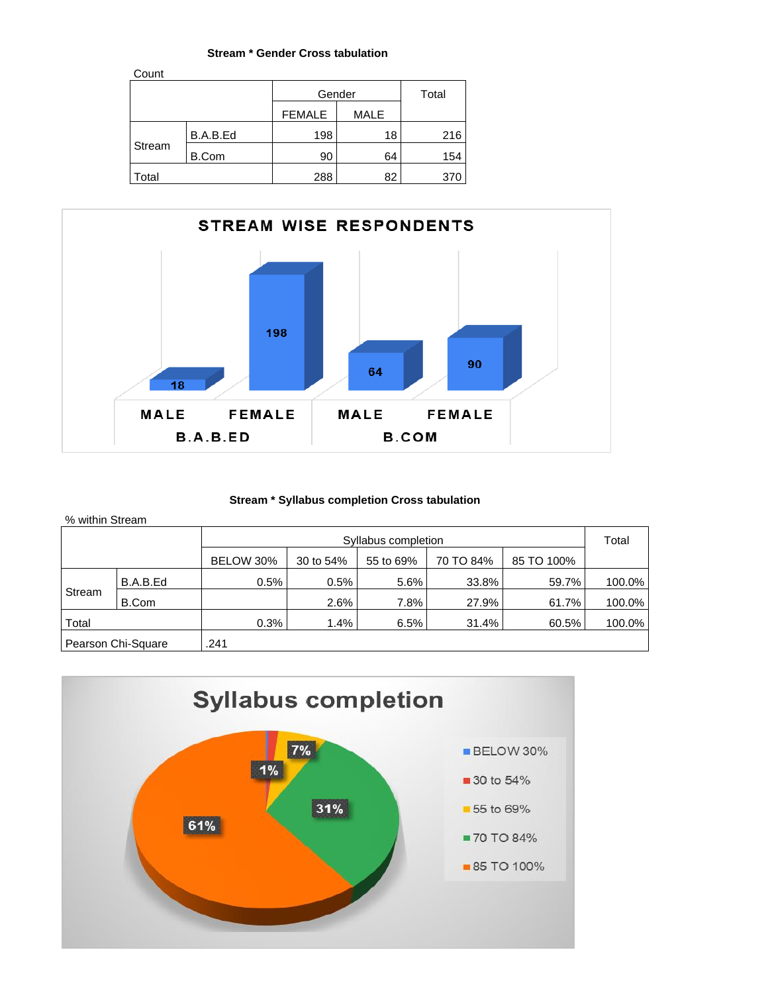#### **Stream \* Gender Cross tabulation**

| Count  |              |               |             |     |
|--------|--------------|---------------|-------------|-----|
|        |              | Gender        | Total       |     |
|        |              | <b>FEMALE</b> | <b>MALE</b> |     |
| Stream | B.A.B.Ed     | 198           | 18          | 216 |
|        | <b>B.Com</b> | 90            | 64          | 154 |
| Total  |              | 288           | 82          | 370 |



## **Stream \* Syllabus completion Cross tabulation**

| % within Stream                                                |                    |                     |      |      |       |       |        |  |  |
|----------------------------------------------------------------|--------------------|---------------------|------|------|-------|-------|--------|--|--|
|                                                                |                    | Syllabus completion |      |      |       |       |        |  |  |
| 70 TO 84%<br>85 TO 100%<br>BELOW 30%<br>30 to 54%<br>55 to 69% |                    |                     |      |      |       |       |        |  |  |
| Stream                                                         | B.A.B.Ed           | 0.5%                | 0.5% | 5.6% | 33.8% | 59.7% | 100.0% |  |  |
|                                                                | B.Com              |                     | 2.6% | 7.8% | 27.9% | 61.7% | 100.0% |  |  |
| Total                                                          |                    | 0.3%                | 1.4% | 6.5% | 31.4% | 60.5% | 100.0% |  |  |
|                                                                | Pearson Chi-Square | .241                |      |      |       |       |        |  |  |

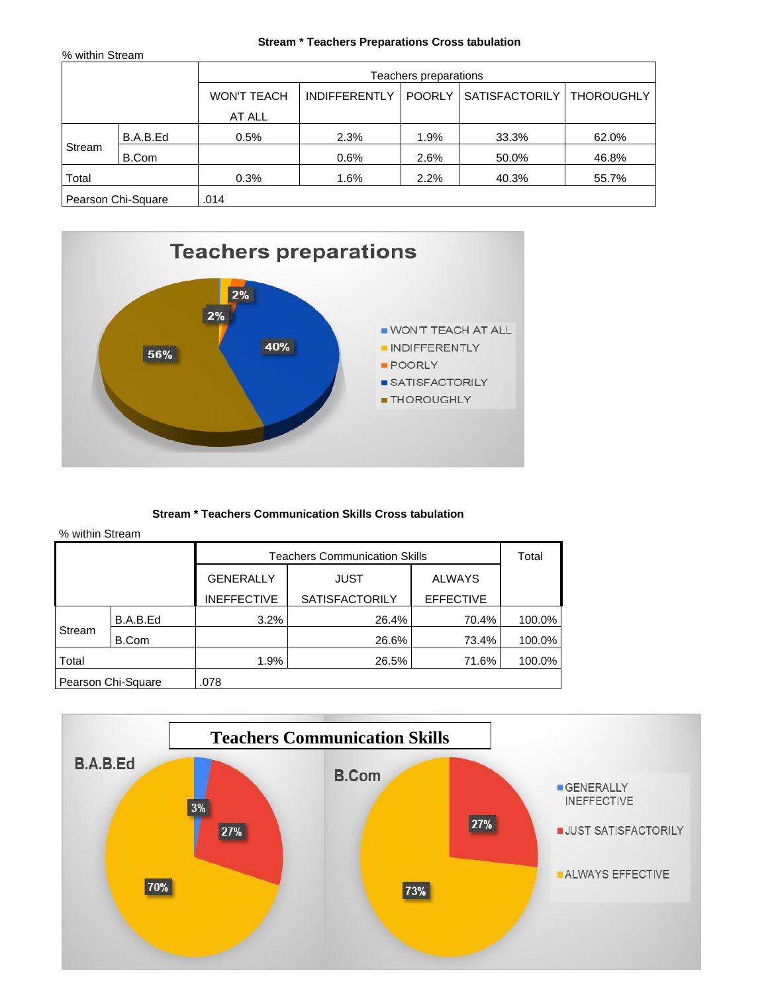## **Stream \* Teachers Preparations Cross tabulation**

| % within Stream |                    |                       |                      |               |                       |                   |  |  |
|-----------------|--------------------|-----------------------|----------------------|---------------|-----------------------|-------------------|--|--|
|                 |                    | Teachers preparations |                      |               |                       |                   |  |  |
|                 |                    | <b>WON'T TEACH</b>    | <b>INDIFFERENTLY</b> | <b>POORLY</b> | <b>SATISFACTORILY</b> | <b>THOROUGHLY</b> |  |  |
|                 |                    | AT ALL                |                      |               |                       |                   |  |  |
| Stream          | B.A.B.Ed           | 0.5%                  | 2.3%                 | 1.9%          | 33.3%                 | 62.0%             |  |  |
|                 | B.Com              |                       | 0.6%                 | 2.6%          | 50.0%                 | 46.8%             |  |  |
| Total           |                    | 0.3%                  | 1.6%                 | 2.2%          | 40.3%                 | 55.7%             |  |  |
|                 | Pearson Chi-Square | .014                  |                      |               |                       |                   |  |  |



## **Stream \* Teachers Communication Skills Cross tabulation**

|        |                    |                    | <b>Teachers Communication Skills</b> |                  | Total  |
|--------|--------------------|--------------------|--------------------------------------|------------------|--------|
|        |                    | <b>GENERALLY</b>   | <b>JUST</b>                          | <b>ALWAYS</b>    |        |
|        |                    | <b>INEFFECTIVE</b> | <b>SATISFACTORILY</b>                | <b>EFFECTIVE</b> |        |
|        | B.A.B.Ed           | 3.2%               | 26.4%                                | 70.4%            | 100.0% |
| Stream | B.Com              |                    | 26.6%                                | 73.4%            | 100.0% |
| Total  |                    | 1.9%               | 26.5%                                | 71.6%            | 100.0% |
|        | Pearson Chi-Square | .078               |                                      |                  |        |

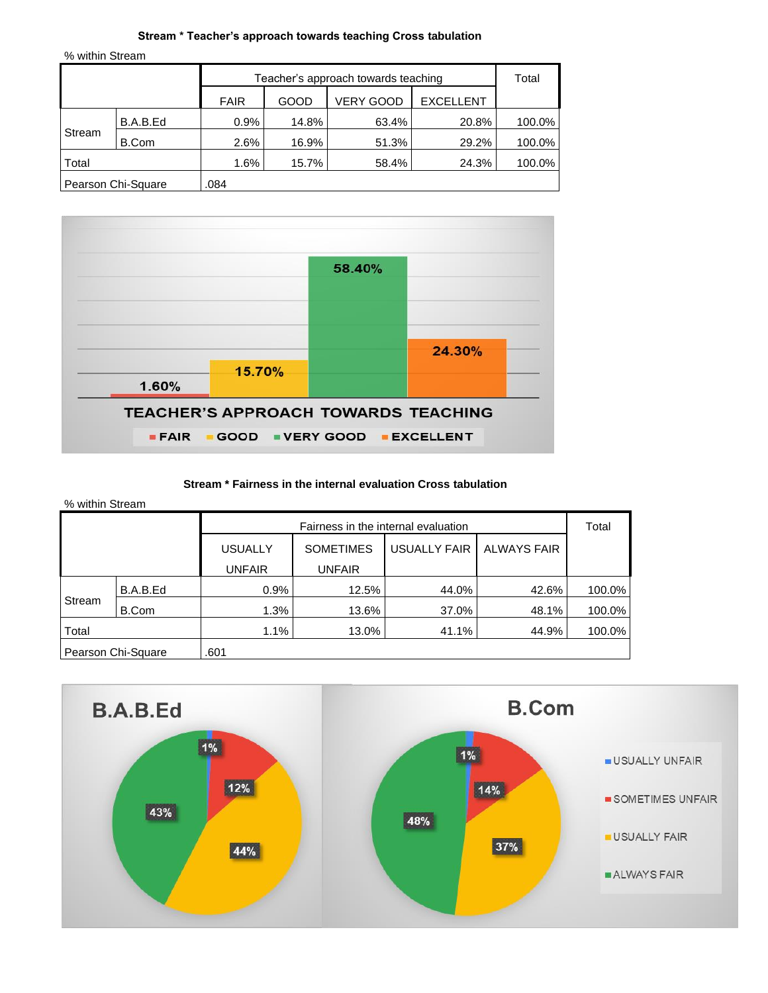#### **Stream \* Teacher's approach towards teaching Cross tabulation**

% within Stream

| Teacher's approach towards teaching |                    |             |       |                  |                  | Total  |
|-------------------------------------|--------------------|-------------|-------|------------------|------------------|--------|
|                                     |                    | <b>FAIR</b> | GOOD  | <b>VERY GOOD</b> | <b>EXCELLENT</b> |        |
|                                     | B.A.B.Ed           | 0.9%        | 14.8% | 63.4%            | 20.8%            | 100.0% |
| Stream                              | B.Com              | 2.6%        | 16.9% | 51.3%            | 29.2%            | 100.0% |
| Total                               |                    | 1.6%        | 15.7% | 58.4%            | 24.3%            | 100.0% |
|                                     | Pearson Chi-Square | .084        |       |                  |                  |        |



#### **Stream \* Fairness in the internal evaluation Cross tabulation**

| % within Stream |                    |                |                                     |                     |                    |        |
|-----------------|--------------------|----------------|-------------------------------------|---------------------|--------------------|--------|
|                 |                    |                | Fairness in the internal evaluation |                     |                    | Total  |
|                 |                    | <b>USUALLY</b> | <b>SOMETIMES</b>                    | <b>USUALLY FAIR</b> | <b>ALWAYS FAIR</b> |        |
|                 |                    | <b>UNFAIR</b>  | UNFAIR                              |                     |                    |        |
|                 | B.A.B.Ed           | 0.9%           | 12.5%                               | 44.0%               | 42.6%              | 100.0% |
| Stream          | B.Com              | 1.3%           | 13.6%                               | 37.0%               | 48.1%              | 100.0% |
| Total           |                    | 1.1%           | 13.0%                               | 41.1%               | 44.9%              | 100.0% |
|                 | Pearson Chi-Square | .601           |                                     |                     |                    |        |

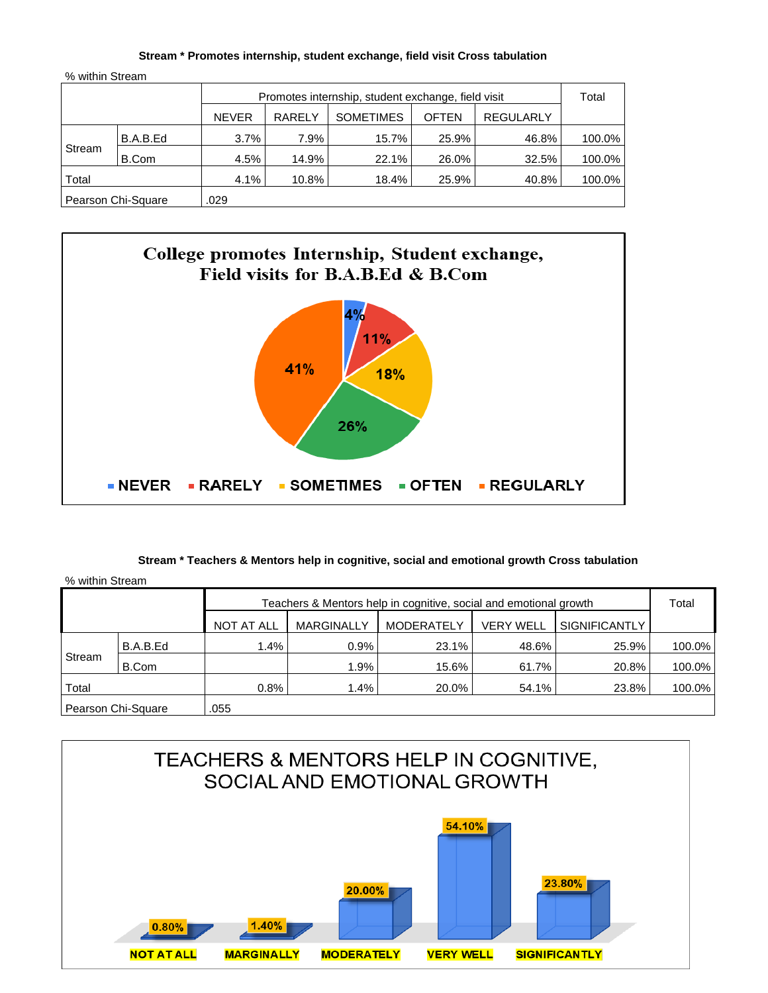#### **Stream \* Promotes internship, student exchange, field visit Cross tabulation**

| % within Stream |                    |              |                                                    |                  |              |                  |        |  |
|-----------------|--------------------|--------------|----------------------------------------------------|------------------|--------------|------------------|--------|--|
|                 |                    |              | Promotes internship, student exchange, field visit |                  |              |                  |        |  |
|                 |                    | <b>NEVER</b> | <b>RARELY</b>                                      | <b>SOMETIMES</b> | <b>OFTEN</b> | <b>REGULARLY</b> |        |  |
| Stream          | B.A.B.Ed           | 3.7%         | 7.9%                                               | 15.7%            | 25.9%        | 46.8%            | 100.0% |  |
|                 | B.Com              | 4.5%         | 14.9%                                              | 22.1%            | 26.0%        | 32.5%            | 100.0% |  |
| Total           |                    | 4.1%         | 10.8%                                              | 18.4%            | 25.9%        | 40.8%            | 100.0% |  |
|                 | Pearson Chi-Square | .029         |                                                    |                  |              |                  |        |  |



#### **Stream \* Teachers & Mentors help in cognitive, social and emotional growth Cross tabulation**

| % within Stream                                                   |                    |            |                   |                   |                  |                      |        |
|-------------------------------------------------------------------|--------------------|------------|-------------------|-------------------|------------------|----------------------|--------|
| Teachers & Mentors help in cognitive, social and emotional growth |                    |            |                   |                   |                  |                      | Total  |
|                                                                   |                    | NOT AT ALL | <b>MARGINALLY</b> | <b>MODERATELY</b> | <b>VERY WELL</b> | <b>SIGNIFICANTLY</b> |        |
| Stream                                                            | B.A.B.Ed           | 1.4%       | 0.9%              | 23.1%             | 48.6%            | 25.9%                | 100.0% |
|                                                                   | B.Com              |            | 1.9%              | 15.6%             | 61.7%            | 20.8%                | 100.0% |
| Total                                                             |                    | 0.8%       | 1.4%              | 20.0%             | 54.1%            | 23.8%                | 100.0% |
|                                                                   | Pearson Chi-Square | .055       |                   |                   |                  |                      |        |

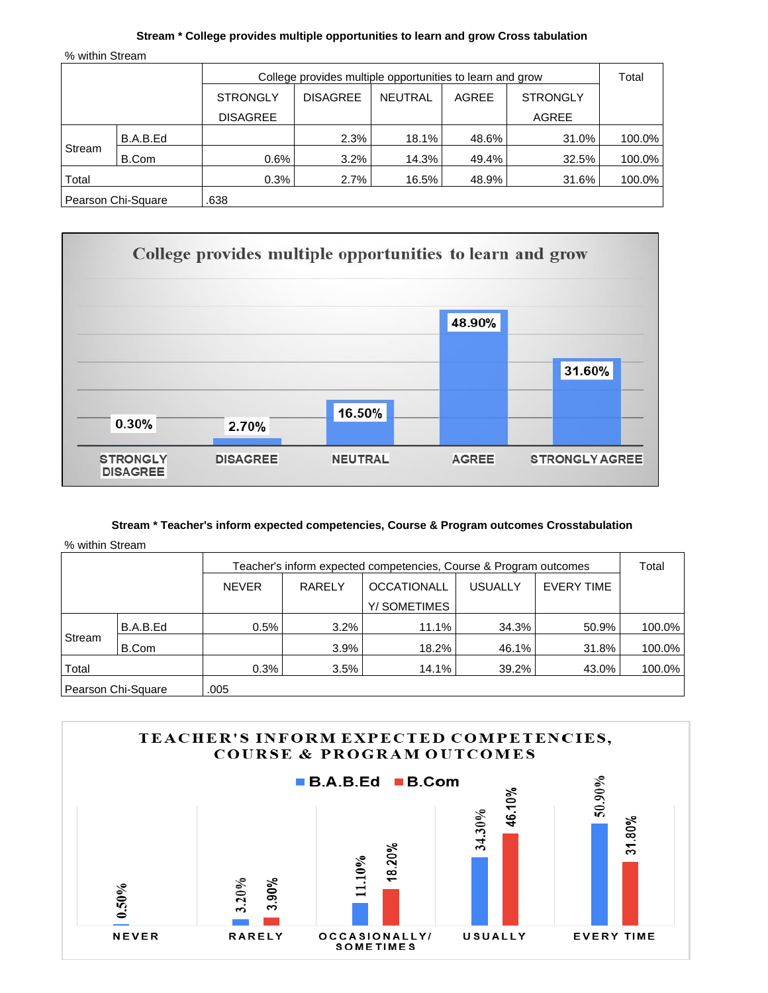## **Stream \* College provides multiple opportunities to learn and grow Cross tabulation**

% within Stream

|        | College provides multiple opportunities to learn and grow |                 |                 |         |       | Total           |        |
|--------|-----------------------------------------------------------|-----------------|-----------------|---------|-------|-----------------|--------|
|        |                                                           | <b>STRONGLY</b> | <b>DISAGREE</b> | NEUTRAL | AGREE | <b>STRONGLY</b> |        |
|        |                                                           | <b>DISAGREE</b> |                 |         |       | AGREE           |        |
| Stream | B.A.B.Ed                                                  |                 | 2.3%            | 18.1%   | 48.6% | 31.0%           | 100.0% |
|        | B.Com                                                     | 0.6%            | 3.2%            | 14.3%   | 49.4% | 32.5%           | 100.0% |
| Total  |                                                           | 0.3%            | 2.7%            | 16.5%   | 48.9% | 31.6%           | 100.0% |
|        | Pearson Chi-Square                                        | .638            |                 |         |       |                 |        |



## **Stream \* Teacher's inform expected competencies, Course & Program outcomes Crosstabulation**

|        | Teacher's inform expected competencies, Course & Program outcomes |              |               |                    |                |                   | Total  |
|--------|-------------------------------------------------------------------|--------------|---------------|--------------------|----------------|-------------------|--------|
|        |                                                                   | <b>NEVER</b> | <b>RARELY</b> | <b>OCCATIONALL</b> | <b>USUALLY</b> | <b>EVERY TIME</b> |        |
|        |                                                                   |              |               | Y/SOMETIMES        |                |                   |        |
|        | B.A.B.Ed                                                          | 0.5%         | 3.2%          | 11.1%              | 34.3%          | 50.9%             | 100.0% |
| Stream | B.Com                                                             |              | 3.9%          | 18.2%              | 46.1%          | 31.8%             | 100.0% |
| Total  |                                                                   | 0.3%         | 3.5%          | 14.1%              | $39.2\%$       | 43.0%             | 100.0% |
|        | Pearson Chi-Square                                                | .005         |               |                    |                |                   |        |

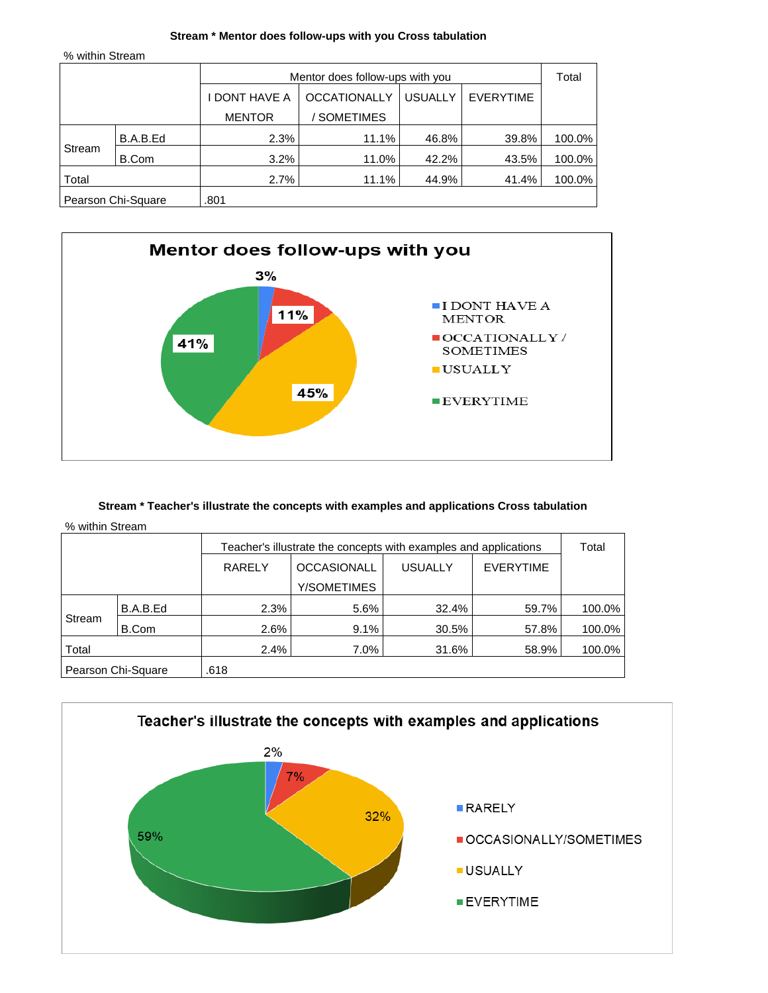#### **Stream \* Mentor does follow-ups with you Cross tabulation**

% within Stream

|        |                    |               | Mentor does follow-ups with you |                |                  |        |  |
|--------|--------------------|---------------|---------------------------------|----------------|------------------|--------|--|
|        |                    | I DONT HAVE A | <b>OCCATIONALLY</b>             | <b>USUALLY</b> | <b>EVERYTIME</b> |        |  |
|        |                    | <b>MENTOR</b> | <b>SOMETIMES</b>                |                |                  |        |  |
|        | B.A.B.Ed           | 2.3%          | 11.1%                           | 46.8%          | 39.8%            | 100.0% |  |
| Stream | B.Com              | 3.2%          | 11.0%                           | 42.2%          | 43.5%            | 100.0% |  |
| Total  |                    | 2.7%          | 11.1%                           | 44.9%          | 41.4%            | 100.0% |  |
|        | Pearson Chi-Square | .801          |                                 |                |                  |        |  |



## **Stream \* Teacher's illustrate the concepts with examples and applications Cross tabulation**

|        |                    |               | Teacher's illustrate the concepts with examples and applications |                |                  |        |  |  |
|--------|--------------------|---------------|------------------------------------------------------------------|----------------|------------------|--------|--|--|
|        |                    | <b>RARELY</b> | <b>OCCASIONALL</b>                                               | <b>USUALLY</b> | <b>EVERYTIME</b> |        |  |  |
|        |                    |               | Y/SOMETIMES                                                      |                |                  |        |  |  |
|        | B.A.B.Ed           | 2.3%          | 5.6%                                                             | 32.4%          | 59.7%            | 100.0% |  |  |
| Stream | B.Com              | 2.6%          | 9.1%                                                             | 30.5%          | 57.8%            | 100.0% |  |  |
| Total  |                    | 2.4%          | $7.0\%$                                                          | 31.6%          | 58.9%            | 100.0% |  |  |
|        | Pearson Chi-Square | .618          |                                                                  |                |                  |        |  |  |

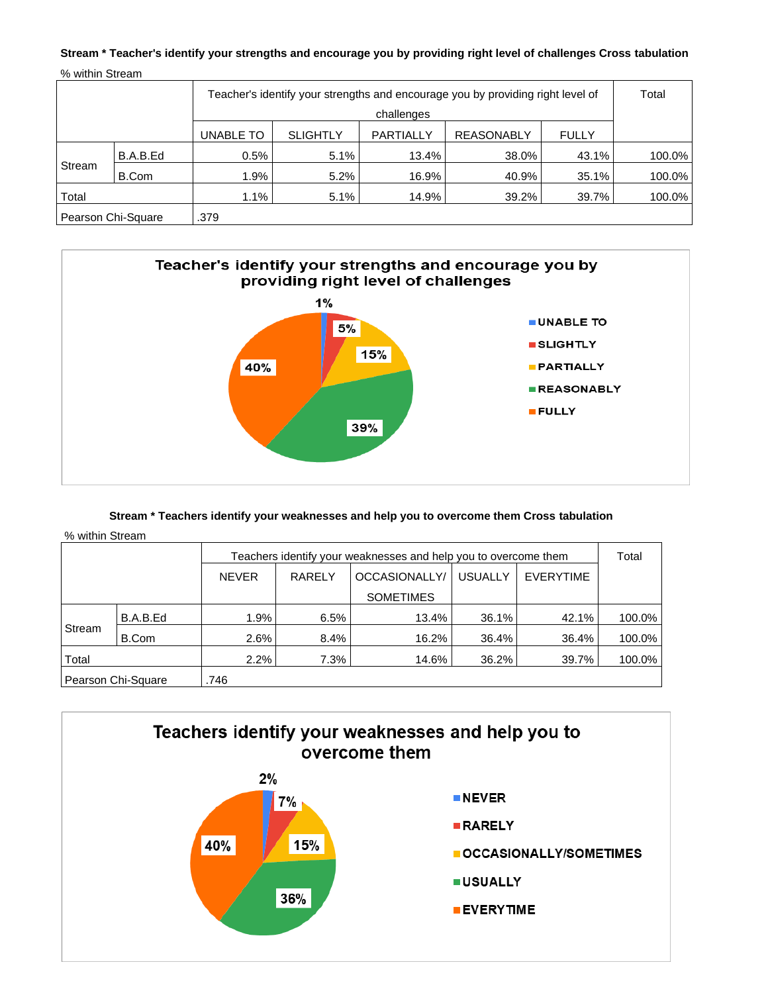# **Stream \* Teacher's identify your strengths and encourage you by providing right level of challenges Cross tabulation** % within Stream

| Teacher's identify your strengths and encourage you by providing right level of<br>challenges |                                                                                |      |      |       |          |       | Total  |  |
|-----------------------------------------------------------------------------------------------|--------------------------------------------------------------------------------|------|------|-------|----------|-------|--------|--|
|                                                                                               | <b>SLIGHTLY</b><br>PARTIALLY<br><b>REASONABLY</b><br>UNABLE TO<br><b>FULLY</b> |      |      |       |          |       |        |  |
| Stream                                                                                        | B.A.B.Ed                                                                       | 0.5% | 5.1% | 13.4% | 38.0%    | 43.1% | 100.0% |  |
|                                                                                               | B.Com                                                                          | 1.9% | 5.2% | 16.9% | 40.9%    | 35.1% | 100.0% |  |
| Total                                                                                         |                                                                                | 1.1% | 5.1% | 14.9% | $39.2\%$ | 39.7% | 100.0% |  |
| Pearson Chi-Square                                                                            |                                                                                | .379 |      |       |          |       |        |  |



# **Stream \* Teachers identify your weaknesses and help you to overcome them Cross tabulation**

|                    |          | Teachers identify your weaknesses and help you to overcome them |               |                  |                |                  | Total  |
|--------------------|----------|-----------------------------------------------------------------|---------------|------------------|----------------|------------------|--------|
|                    |          | <b>NEVER</b>                                                    | <b>RARELY</b> | OCCASIONALLY/    | <b>USUALLY</b> | <b>EVERYTIME</b> |        |
|                    |          |                                                                 |               | <b>SOMETIMES</b> |                |                  |        |
| Stream             | B.A.B.Ed | 1.9%                                                            | 6.5%          | 13.4%            | 36.1%          | 42.1%            | 100.0% |
|                    | B.Com    | 2.6%                                                            | 8.4%          | 16.2%            | 36.4%          | 36.4%            | 100.0% |
| Total              |          | 2.2%                                                            | 7.3%          | 14.6%            | 36.2%          | 39.7%            | 100.0% |
| Pearson Chi-Square |          | .746                                                            |               |                  |                |                  |        |

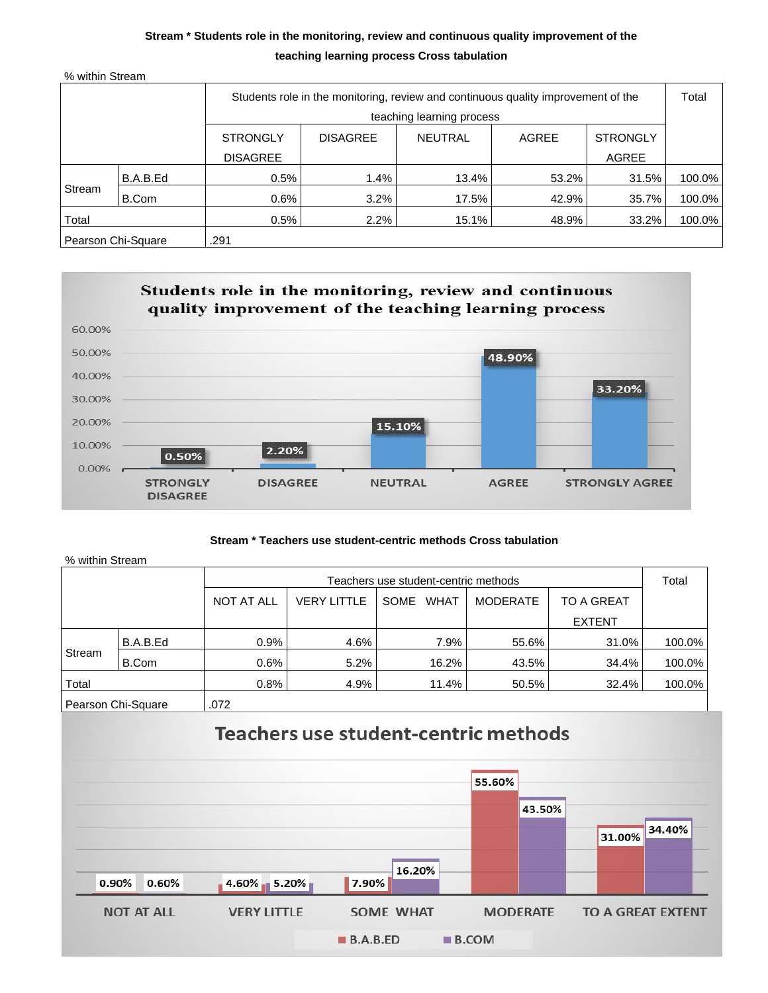# **Stream \* Students role in the monitoring, review and continuous quality improvement of the teaching learning process Cross tabulation**

|  |  | % within Stream |
|--|--|-----------------|
|--|--|-----------------|

| Students role in the monitoring, review and continuous quality improvement of the |          |                 |                 |                           |       | Total           |        |
|-----------------------------------------------------------------------------------|----------|-----------------|-----------------|---------------------------|-------|-----------------|--------|
|                                                                                   |          |                 |                 | teaching learning process |       |                 |        |
|                                                                                   |          | <b>STRONGLY</b> | <b>DISAGREE</b> | <b>NEUTRAL</b>            | AGREE | <b>STRONGLY</b> |        |
|                                                                                   |          | <b>DISAGREE</b> |                 |                           |       | AGREE           |        |
| Stream                                                                            | B.A.B.Ed | 0.5%            | 1.4%            | 13.4%                     | 53.2% | 31.5%           | 100.0% |
|                                                                                   | B.Com    | 0.6%            | 3.2%            | 17.5%                     | 42.9% | 35.7%           | 100.0% |
| Total                                                                             |          | 0.5%            | $2.2\%$         | $15.1\%$                  | 48.9% | 33.2%           | 100.0% |
| Pearson Chi-Square                                                                |          | .291            |                 |                           |       |                 |        |



## **Stream \* Teachers use student-centric methods Cross tabulation**

| % within Stream    |          |                   |                                      |                     |                 |               |        |  |  |
|--------------------|----------|-------------------|--------------------------------------|---------------------|-----------------|---------------|--------|--|--|
|                    |          |                   | Teachers use student-centric methods |                     |                 |               |        |  |  |
|                    |          | <b>NOT AT ALL</b> | <b>VERY LITTLE</b>                   | <b>WHAT</b><br>SOME | <b>MODERATE</b> | TO A GREAT    |        |  |  |
|                    |          |                   |                                      |                     |                 | <b>EXTENT</b> |        |  |  |
| Stream             | B.A.B.Ed | 0.9%              | 4.6%                                 | 7.9%                | 55.6%           | 31.0%         | 100.0% |  |  |
|                    | B.Com    | $0.6\%$           | 5.2%                                 | 16.2%               | 43.5%           | 34.4%         | 100.0% |  |  |
| Total              |          | 0.8%              | 4.9%                                 | 11.4%               | 50.5%           | 32.4%         | 100.0% |  |  |
| Pearson Chi-Square |          | .072              |                                      |                     |                 |               |        |  |  |



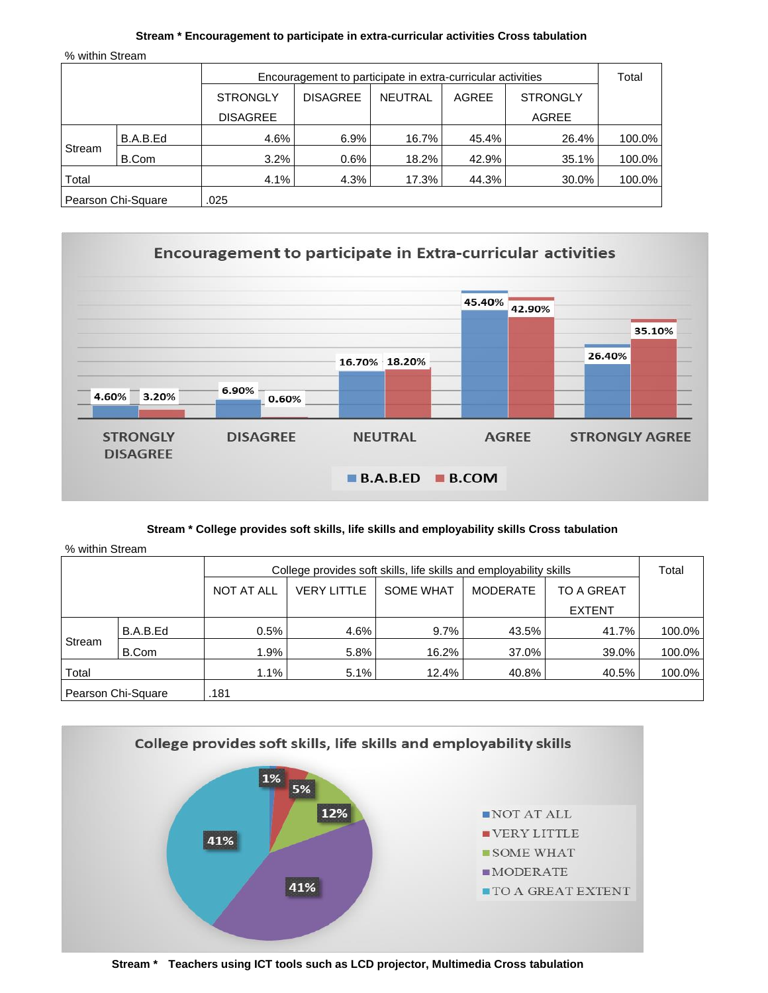#### **Stream \* Encouragement to participate in extra-curricular activities Cross tabulation**

% within Stream

|                    |          | Encouragement to participate in extra-curricular activities |                 |         |       |                 |        |
|--------------------|----------|-------------------------------------------------------------|-----------------|---------|-------|-----------------|--------|
|                    |          | <b>STRONGLY</b>                                             | <b>DISAGREE</b> | NEUTRAL | AGREE | <b>STRONGLY</b> |        |
|                    |          | <b>DISAGREE</b>                                             |                 |         |       | AGREE           |        |
| Stream             | B.A.B.Ed | 4.6%                                                        | 6.9%            | 16.7%   | 45.4% | 26.4%           | 100.0% |
|                    | B.Com    | 3.2%                                                        | 0.6%            | 18.2%   | 42.9% | 35.1%           | 100.0% |
| Total              |          | 4.1%                                                        | 4.3%            | 17.3%   | 44.3% | 30.0%           | 100.0% |
| Pearson Chi-Square |          | .025                                                        |                 |         |       |                 |        |



## **Stream \* College provides soft skills, life skills and employability skills Cross tabulation**

|                    |          | College provides soft skills, life skills and employability skills |                    |                  |                 |               |        |
|--------------------|----------|--------------------------------------------------------------------|--------------------|------------------|-----------------|---------------|--------|
|                    |          | <b>NOT AT ALL</b>                                                  | <b>VERY LITTLE</b> | <b>SOME WHAT</b> | <b>MODERATE</b> | TO A GREAT    |        |
|                    |          |                                                                    |                    |                  |                 | <b>EXTENT</b> |        |
| Stream             | B.A.B.Ed | 0.5%                                                               | 4.6%               | 9.7%             | 43.5%           | 41.7%         | 100.0% |
|                    | B.Com    | 1.9%                                                               | 5.8%               | 16.2%            | 37.0%           | 39.0%         | 100.0% |
| Total              |          | 1.1%                                                               | 5.1%               | 12.4%            | 40.8%           | 40.5%         | 100.0% |
| Pearson Chi-Square |          | .181                                                               |                    |                  |                 |               |        |



**Stream \* Teachers using ICT tools such as LCD projector, Multimedia Cross tabulation**